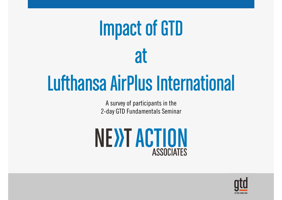# Impact of GTD **at**

## Lufthansa AirPlus International

A survey of participants in the 2-day GTD Fundamentals Seminar



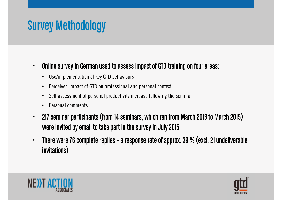## Survey Methodology

- $\bullet$  Online survey in German used to assess impact of GTD training on four areas:
	- Use/implementation of key GTD behaviours
	- $\bullet$ Perceived impact of GTD on professional and personal context
	- $\bullet$ Self assessment of personal productivity increase following the seminar
	- •Personal comments
- • 217 seminar participants (from 14 seminars, which ran from March 2013 to March 2015) were invited by email to take part in the survey in July 2015
- $\bullet$  There were 76 complete replies – a response rate of approx. 39 % (excl. 21 undeliverable invitations)



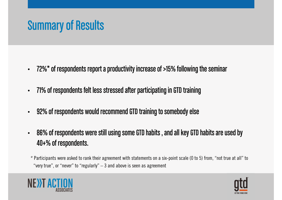### Summary of Results

- •72%\* of respondents report a productivity increase of >15% following the seminar
- •71% of respondents felt less stressed after participating in GTD training
- •92% of respondents would recommend GTD training to somebody else
- • 86% of respondents were still using some GTD habits , and all key GTD habits are used by 40+% of respondents.

\* Participants were asked to rank their agreement with statements on a six-point scale (0 to 5) from, "not true at all" to "very true", or "never" to "regularly"  $-3$  and above is seen as agreement



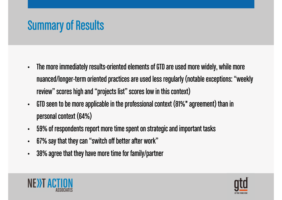## Summary of Results

- • The more immediately results-oriented elements of GTD are used more widely, while more nuanced/longer-term oriented practices are used less regularly (notable exceptions: "weekly review" scores high and "projects list" scores low in this context)
- • GTD seen to be more applicable in the professional context (81%\* agreement) than in personal context (64%)
- $\bullet$ 59% of respondents report more time spent on strategic and important tasks
- •67% say that they can "switch off better after work"
- •38% agree that they have more time for family/partner



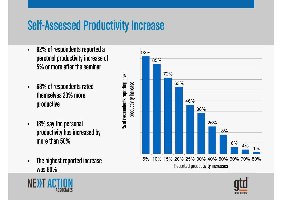#### Self-Assessed Productivity Increase

% of respondents reporting given

 $%$  of respondents reporting given

- $\bullet$  92% of respondents reported a personal productivity increase of 5% or more after the seminar
- $\bullet$  63% of respondents rated themselves 20% more productive
- $\bullet$  18% say the personal productivity has increased by more than 50%
- $\bullet$  The highest reported increase was 80%



Reported productivity increases



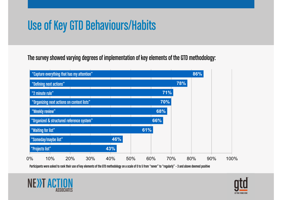## Use of Key GTD Behaviours/Habits

The survey showed varying degrees of implementation of key elements of the GTD methodology:



Participants were asked to rank their use of key elements of the GTD methodology on a scale of 0 to 5 from "never" to "regularly" – 3 and above deemed positive



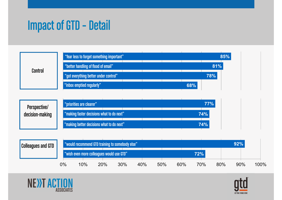## Impact of GTD – Detail

| <b>Control</b> | "fear less to forget something important"  | 85% |  |  |
|----------------|--------------------------------------------|-----|--|--|
|                | $\mid$ "better handling of flood of email" | 81% |  |  |
|                | "got everything better under control"      | 78% |  |  |
|                | "inbox emptied regularly"                  | 68% |  |  |

| Perspective/    | "priorities are clearer"                  |  |  |  |  |  |     | 77% |
|-----------------|-------------------------------------------|--|--|--|--|--|-----|-----|
| decision-making | "making faster decisions what to do next" |  |  |  |  |  |     | 74% |
|                 | "making better decisions what to do next" |  |  |  |  |  | 74% |     |

| <b>Colleagues and GTD</b> |       | "would recommend GTD training to somebody else" |     |     |     |     |     | 92% |     |     |      |  |  |
|---------------------------|-------|-------------------------------------------------|-----|-----|-----|-----|-----|-----|-----|-----|------|--|--|
|                           |       | "wish even more colleagues would use GTD"       |     |     |     |     |     | 72% |     |     |      |  |  |
|                           | $0\%$ | 10%                                             | 20% | 30% | 40% | 50% | 60% | 70% | 80% | 90% | 100% |  |  |



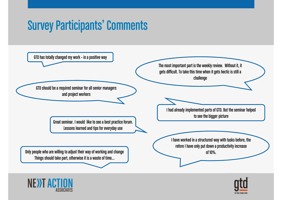#### Survey Participants' Comments

GTD has totally changed my work – in a positive way

GTD should be a required seminar for all senior managers and project workers

> Great seminar. I would like to see a best practice forum. Lessons learned and tips for everyday use

Only people who are willing to adjust their way of working and change Things should take part, otherwise it is a waste of time…



The most important part is the weekly review. Without it, it gets difficult. To take this time when it gets hectic is still a challenge

I had already implemented parts of GTD. But the seminar helped to see the bigger picture

I have worked in a structured way with tasks before, therefore I have only put down a productivity increaseof 10%.

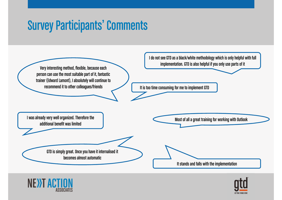#### Survey Participants' Comments